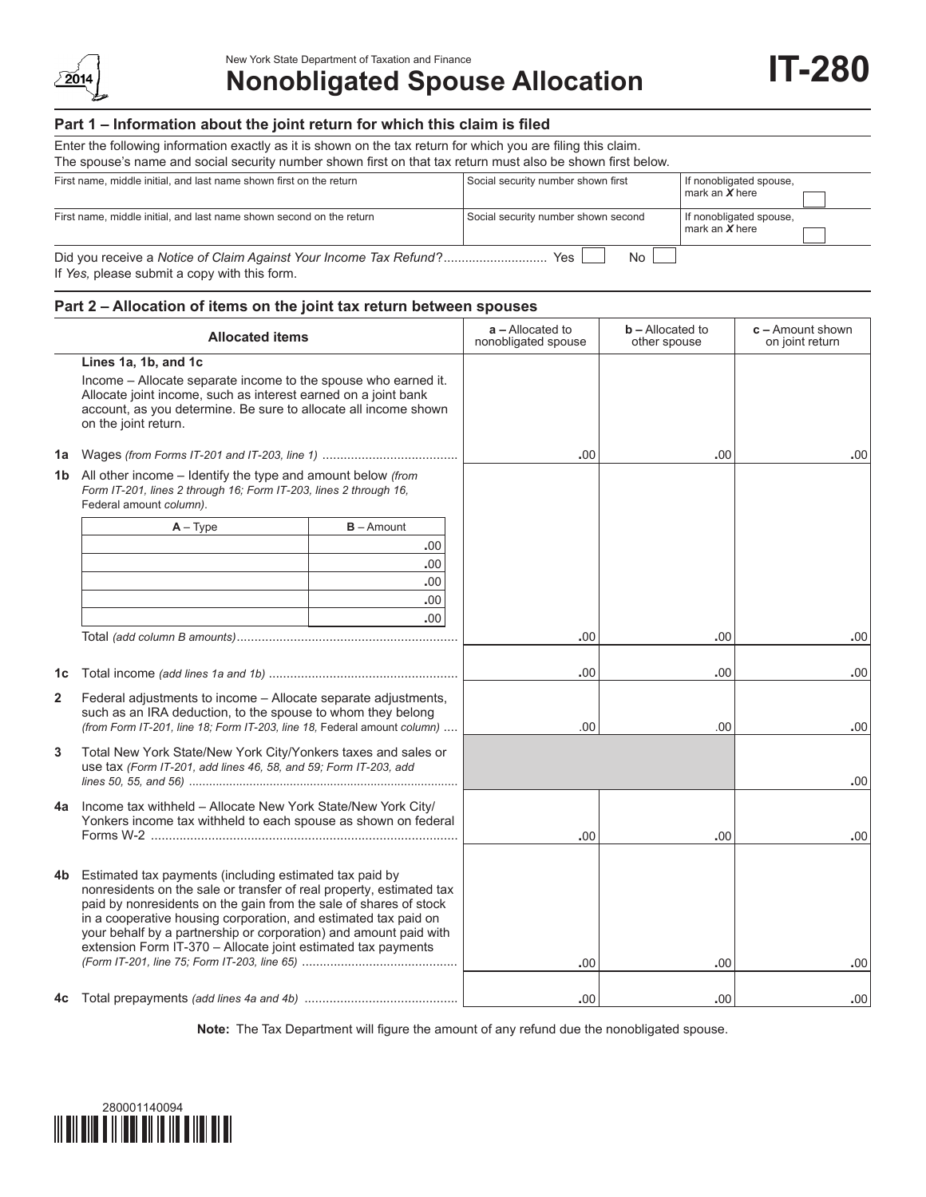

# New York State Department of Taxation and Finance<br> **Nonobligated Spouse Allocation IT-280**

## **Part 1 – Information about the joint return for which this claim is filed**

| Enter the following information exactly as it is shown on the tax return for which you are filing this claim.<br>The spouse's name and social security number shown first on that tax return must also be shown first below. |                                     |                                             |  |  |  |  |  |
|------------------------------------------------------------------------------------------------------------------------------------------------------------------------------------------------------------------------------|-------------------------------------|---------------------------------------------|--|--|--|--|--|
| First name, middle initial, and last name shown first on the return                                                                                                                                                          | Social security number shown first  | If nonobligated spouse,<br>mark an $X$ here |  |  |  |  |  |
| First name, middle initial, and last name shown second on the return                                                                                                                                                         | Social security number shown second |                                             |  |  |  |  |  |
| Did you receive a Notice of Claim Against Your Income Tax Refund?<br><b>Yes</b><br>No.<br>If Yes, please submit a copy with this form.                                                                                       |                                     |                                             |  |  |  |  |  |

## **Part 2 – Allocation of items on the joint tax return between spouses**

|                | <b>Allocated items</b>                                                                                                                                                                                                                                                                                                                                                                                        | $a -$ Allocated to<br>nonobligated spouse | $b$ – Allocated to<br>other spouse | $c -$ Amount shown<br>on joint return |
|----------------|---------------------------------------------------------------------------------------------------------------------------------------------------------------------------------------------------------------------------------------------------------------------------------------------------------------------------------------------------------------------------------------------------------------|-------------------------------------------|------------------------------------|---------------------------------------|
|                | Lines 1a, 1b, and 1c<br>Income - Allocate separate income to the spouse who earned it.<br>Allocate joint income, such as interest earned on a joint bank<br>account, as you determine. Be sure to allocate all income shown<br>on the joint return.                                                                                                                                                           |                                           |                                    |                                       |
|                |                                                                                                                                                                                                                                                                                                                                                                                                               | .00                                       | .00.                               | .00                                   |
|                | <b>1b</b> All other income – Identify the type and amount below (from<br>Form IT-201, lines 2 through 16; Form IT-203, lines 2 through 16,<br>Federal amount column).                                                                                                                                                                                                                                         |                                           |                                    |                                       |
|                | $B -$ Amount<br>$A - Type$                                                                                                                                                                                                                                                                                                                                                                                    |                                           |                                    |                                       |
|                | .00                                                                                                                                                                                                                                                                                                                                                                                                           |                                           |                                    |                                       |
|                | .00                                                                                                                                                                                                                                                                                                                                                                                                           |                                           |                                    |                                       |
|                | .00                                                                                                                                                                                                                                                                                                                                                                                                           |                                           |                                    |                                       |
|                | .00<br>.00 <sub>1</sub>                                                                                                                                                                                                                                                                                                                                                                                       |                                           |                                    |                                       |
|                |                                                                                                                                                                                                                                                                                                                                                                                                               | .00                                       | .00                                | .00                                   |
|                |                                                                                                                                                                                                                                                                                                                                                                                                               |                                           |                                    |                                       |
| 1c             |                                                                                                                                                                                                                                                                                                                                                                                                               | .00                                       | .00                                | .00                                   |
| $\overline{2}$ | Federal adjustments to income - Allocate separate adjustments,<br>such as an IRA deduction, to the spouse to whom they belong<br>(from Form IT-201, line 18; Form IT-203, line 18, Federal amount column)                                                                                                                                                                                                     | .00                                       | .00                                | .00                                   |
| 3              | Total New York State/New York City/Yonkers taxes and sales or<br>use tax (Form IT-201, add lines 46, 58, and 59; Form IT-203, add                                                                                                                                                                                                                                                                             |                                           |                                    | .00                                   |
| 4a             | Income tax withheld - Allocate New York State/New York City/<br>Yonkers income tax withheld to each spouse as shown on federal                                                                                                                                                                                                                                                                                | .00                                       | .00                                | .00                                   |
| 4b.            | Estimated tax payments (including estimated tax paid by<br>nonresidents on the sale or transfer of real property, estimated tax<br>paid by nonresidents on the gain from the sale of shares of stock<br>in a cooperative housing corporation, and estimated tax paid on<br>your behalf by a partnership or corporation) and amount paid with<br>extension Form IT-370 - Allocate joint estimated tax payments | .00                                       | .00                                | .00                                   |
| 4c             |                                                                                                                                                                                                                                                                                                                                                                                                               | .00                                       | .00.                               | .00                                   |

**Note:** The Tax Department will figure the amount of any refund due the nonobligated spouse.